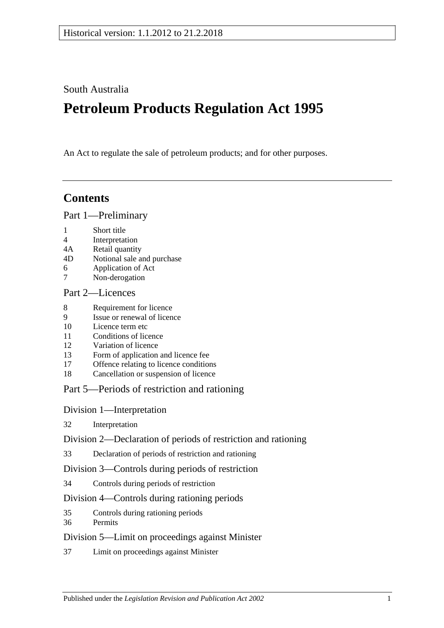South Australia

# **Petroleum Products Regulation Act 1995**

An Act to regulate the sale of petroleum products; and for other purposes.

# **Contents**

[Part 1—Preliminary](#page-1-0)

- 1 [Short title](#page-1-1)
- 4 [Interpretation](#page-1-2)
- 4A [Retail quantity](#page-3-0)
- 4D [Notional sale and purchase](#page-4-0)
- 6 [Application of Act](#page-4-1)
- 7 [Non-derogation](#page-4-2)

#### [Part 2—Licences](#page-4-3)

- 8 [Requirement for licence](#page-4-4)
- 9 [Issue or renewal of licence](#page-4-5)
- 10 [Licence term etc](#page-4-6)
- 11 [Conditions of licence](#page-5-0)
- 12 [Variation of licence](#page-5-1)
- 13 [Form of application and licence fee](#page-5-2)
- 17 [Offence relating to licence conditions](#page-6-0)
- 18 [Cancellation or suspension of licence](#page-6-1)

#### [Part 5—Periods of restriction and rationing](#page-6-2)

[Division 1—Interpretation](#page-6-3)

32 [Interpretation](#page-6-4)

[Division 2—Declaration of periods of restriction and rationing](#page-6-5)

33 [Declaration of periods of restriction and rationing](#page-6-6)

[Division 3—Controls during periods of restriction](#page-7-0)

34 [Controls during periods of restriction](#page-7-1)

#### [Division 4—Controls during rationing periods](#page-8-0)

- 35 [Controls during rationing periods](#page-8-1)
- 36 [Permits](#page-8-2)

#### [Division 5—Limit on proceedings against Minister](#page-9-0)

37 [Limit on proceedings against Minister](#page-9-1)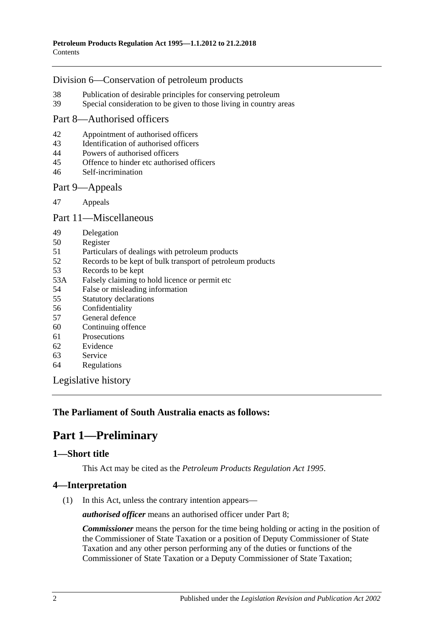#### [Division 6—Conservation of petroleum products](#page-9-2)

- 38 [Publication of desirable principles for conserving petroleum](#page-9-3)
- 39 [Special consideration to be given to those living in country areas](#page-9-4)

#### [Part 8—Authorised officers](#page-9-5)

- 42 [Appointment of authorised officers](#page-9-6)<br>43 Identification of authorised officers
- [Identification of authorised officers](#page-10-0)
- 44 [Powers of authorised officers](#page-10-1)
- 45 [Offence to hinder etc authorised officers](#page-11-0)
- 46 [Self-incrimination](#page-11-1)

#### [Part 9—Appeals](#page-12-0)

47 [Appeals](#page-12-1)

#### [Part 11—Miscellaneous](#page-13-0)

- 49 [Delegation](#page-13-1)
- 50 [Register](#page-13-2)
- 51 [Particulars of dealings with petroleum products](#page-13-3)
- 52 [Records to be kept of bulk transport of petroleum products](#page-14-0)
- 53 [Records to be kept](#page-14-1)
- 53A [Falsely claiming to hold licence or permit etc](#page-14-2)
- 54 [False or misleading information](#page-14-3)
- 55 [Statutory declarations](#page-15-0)
- 56 [Confidentiality](#page-15-1)
- 57 [General defence](#page-16-0)
- 60 [Continuing offence](#page-16-1)
- 61 [Prosecutions](#page-16-2)
- 62 [Evidence](#page-17-0)
- 63 [Service](#page-17-1)
- 64 [Regulations](#page-18-0)

[Legislative history](#page-19-0)

#### <span id="page-1-0"></span>**The Parliament of South Australia enacts as follows:**

# **Part 1—Preliminary**

#### <span id="page-1-1"></span>**1—Short title**

This Act may be cited as the *Petroleum Products Regulation Act 1995*.

#### <span id="page-1-2"></span>**4—Interpretation**

(1) In this Act, unless the contrary intention appears—

*authorised officer* means an authorised officer under [Part 8;](#page-9-5)

*Commissioner* means the person for the time being holding or acting in the position of the Commissioner of State Taxation or a position of Deputy Commissioner of State Taxation and any other person performing any of the duties or functions of the Commissioner of State Taxation or a Deputy Commissioner of State Taxation;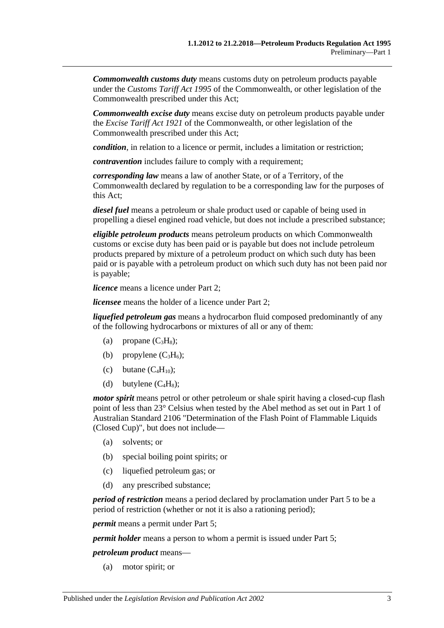*Commonwealth customs duty* means customs duty on petroleum products payable under the *Customs Tariff Act 1995* of the Commonwealth, or other legislation of the Commonwealth prescribed under this Act;

*Commonwealth excise duty* means excise duty on petroleum products payable under the *Excise Tariff Act 1921* of the Commonwealth, or other legislation of the Commonwealth prescribed under this Act;

*condition*, in relation to a licence or permit, includes a limitation or restriction;

*contravention* includes failure to comply with a requirement;

*corresponding law* means a law of another State, or of a Territory, of the Commonwealth declared by regulation to be a corresponding law for the purposes of this Act;

*diesel fuel* means a petroleum or shale product used or capable of being used in propelling a diesel engined road vehicle, but does not include a prescribed substance;

*eligible petroleum products* means petroleum products on which Commonwealth customs or excise duty has been paid or is payable but does not include petroleum products prepared by mixture of a petroleum product on which such duty has been paid or is payable with a petroleum product on which such duty has not been paid nor is payable;

*licence* means a licence under [Part 2;](#page-4-3)

*licensee* means the holder of a licence under [Part 2;](#page-4-3)

*liquefied petroleum gas* means a hydrocarbon fluid composed predominantly of any of the following hydrocarbons or mixtures of all or any of them:

- (a) propane  $(C_3H_8)$ ;
- (b) propylene  $(C_3H_6)$ ;
- (c) butane  $(C_4H_{10})$ ;
- (d) butylene  $(C_4H_8)$ ;

*motor spirit* means petrol or other petroleum or shale spirit having a closed-cup flash point of less than 23° Celsius when tested by the Abel method as set out in Part 1 of Australian Standard 2106 "Determination of the Flash Point of Flammable Liquids (Closed Cup)", but does not include—

- (a) solvents; or
- (b) special boiling point spirits; or
- (c) liquefied petroleum gas; or
- (d) any prescribed substance;

*period of restriction* means a period declared by proclamation under [Part 5](#page-6-2) to be a period of restriction (whether or not it is also a rationing period);

*permit* means a permit under [Part 5;](#page-6-2)

*permit holder* means a person to whom a permit is issued under [Part 5;](#page-6-2)

*petroleum product* means—

(a) motor spirit; or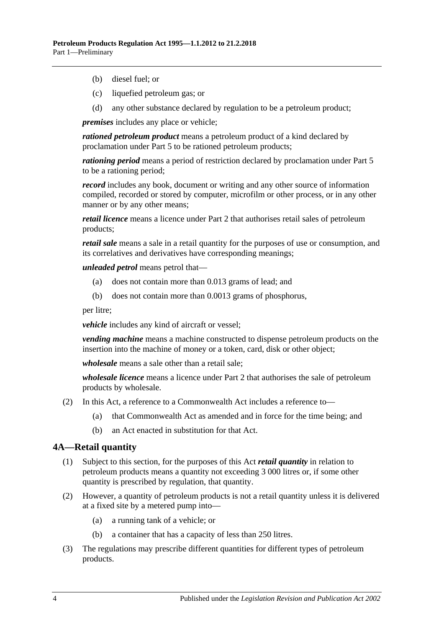- (b) diesel fuel; or
- (c) liquefied petroleum gas; or
- (d) any other substance declared by regulation to be a petroleum product;

*premises* includes any place or vehicle;

*rationed petroleum product* means a petroleum product of a kind declared by proclamation under [Part 5](#page-6-2) to be rationed petroleum products;

*rationing period* means a period of restriction declared by proclamation under [Part 5](#page-6-2) to be a rationing period;

*record* includes any book, document or writing and any other source of information compiled, recorded or stored by computer, microfilm or other process, or in any other manner or by any other means;

*retail licence* means a licence under [Part 2](#page-4-3) that authorises retail sales of petroleum products;

*retail sale* means a sale in a retail quantity for the purposes of use or consumption, and its correlatives and derivatives have corresponding meanings;

*unleaded petrol* means petrol that—

- (a) does not contain more than 0.013 grams of lead; and
- (b) does not contain more than 0.0013 grams of phosphorus,

per litre;

*vehicle* includes any kind of aircraft or vessel;

*vending machine* means a machine constructed to dispense petroleum products on the insertion into the machine of money or a token, card, disk or other object;

*wholesale* means a sale other than a retail sale;

*wholesale licence* means a licence under [Part 2](#page-4-3) that authorises the sale of petroleum products by wholesale.

- (2) In this Act, a reference to a Commonwealth Act includes a reference to—
	- (a) that Commonwealth Act as amended and in force for the time being; and
	- (b) an Act enacted in substitution for that Act.

#### <span id="page-3-0"></span>**4A—Retail quantity**

- (1) Subject to this section, for the purposes of this Act *retail quantity* in relation to petroleum products means a quantity not exceeding 3 000 litres or, if some other quantity is prescribed by regulation, that quantity.
- (2) However, a quantity of petroleum products is not a retail quantity unless it is delivered at a fixed site by a metered pump into—
	- (a) a running tank of a vehicle; or
	- (b) a container that has a capacity of less than 250 litres.
- (3) The regulations may prescribe different quantities for different types of petroleum products.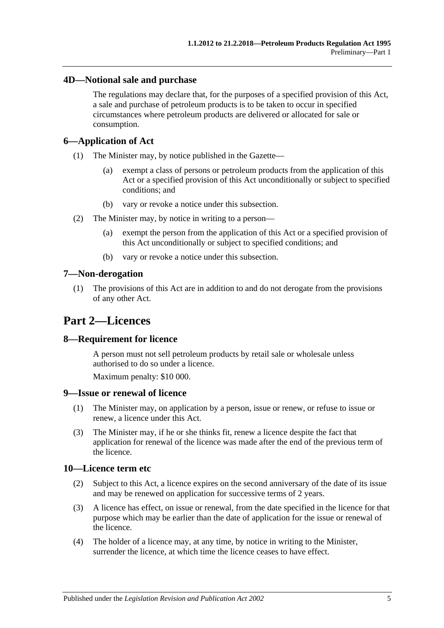#### <span id="page-4-0"></span>**4D—Notional sale and purchase**

The regulations may declare that, for the purposes of a specified provision of this Act, a sale and purchase of petroleum products is to be taken to occur in specified circumstances where petroleum products are delivered or allocated for sale or consumption.

#### <span id="page-4-1"></span>**6—Application of Act**

- (1) The Minister may, by notice published in the Gazette—
	- (a) exempt a class of persons or petroleum products from the application of this Act or a specified provision of this Act unconditionally or subject to specified conditions; and
	- (b) vary or revoke a notice under this subsection.
- (2) The Minister may, by notice in writing to a person—
	- (a) exempt the person from the application of this Act or a specified provision of this Act unconditionally or subject to specified conditions; and
	- (b) vary or revoke a notice under this subsection.

#### <span id="page-4-2"></span>**7—Non-derogation**

(1) The provisions of this Act are in addition to and do not derogate from the provisions of any other Act.

# <span id="page-4-3"></span>**Part 2—Licences**

#### <span id="page-4-4"></span>**8—Requirement for licence**

A person must not sell petroleum products by retail sale or wholesale unless authorised to do so under a licence.

Maximum penalty: \$10 000.

#### <span id="page-4-5"></span>**9—Issue or renewal of licence**

- (1) The Minister may, on application by a person, issue or renew, or refuse to issue or renew, a licence under this Act.
- (3) The Minister may, if he or she thinks fit, renew a licence despite the fact that application for renewal of the licence was made after the end of the previous term of the licence.

#### <span id="page-4-6"></span>**10—Licence term etc**

- (2) Subject to this Act, a licence expires on the second anniversary of the date of its issue and may be renewed on application for successive terms of 2 years.
- (3) A licence has effect, on issue or renewal, from the date specified in the licence for that purpose which may be earlier than the date of application for the issue or renewal of the licence.
- (4) The holder of a licence may, at any time, by notice in writing to the Minister, surrender the licence, at which time the licence ceases to have effect.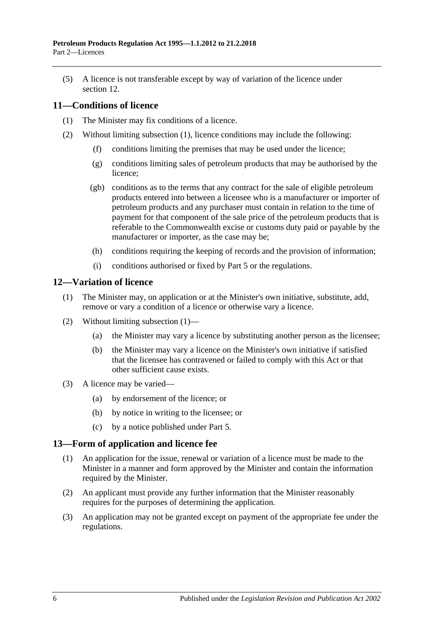(5) A licence is not transferable except by way of variation of the licence under [section](#page-5-1) 12

#### <span id="page-5-3"></span><span id="page-5-0"></span>**11—Conditions of licence**

- (1) The Minister may fix conditions of a licence.
- (2) Without limiting [subsection](#page-5-3) (1), licence conditions may include the following:
	- (f) conditions limiting the premises that may be used under the licence;
	- (g) conditions limiting sales of petroleum products that may be authorised by the licence;
	- (gb) conditions as to the terms that any contract for the sale of eligible petroleum products entered into between a licensee who is a manufacturer or importer of petroleum products and any purchaser must contain in relation to the time of payment for that component of the sale price of the petroleum products that is referable to the Commonwealth excise or customs duty paid or payable by the manufacturer or importer, as the case may be;
	- (h) conditions requiring the keeping of records and the provision of information;
	- (i) conditions authorised or fixed by [Part 5](#page-6-2) or the regulations.

#### <span id="page-5-4"></span><span id="page-5-1"></span>**12—Variation of licence**

- (1) The Minister may, on application or at the Minister's own initiative, substitute, add, remove or vary a condition of a licence or otherwise vary a licence.
- (2) Without limiting [subsection](#page-5-4) (1)—
	- (a) the Minister may vary a licence by substituting another person as the licensee;
	- (b) the Minister may vary a licence on the Minister's own initiative if satisfied that the licensee has contravened or failed to comply with this Act or that other sufficient cause exists.
- (3) A licence may be varied—
	- (a) by endorsement of the licence; or
	- (b) by notice in writing to the licensee; or
	- (c) by a notice published under [Part 5.](#page-6-2)

#### <span id="page-5-2"></span>**13—Form of application and licence fee**

- (1) An application for the issue, renewal or variation of a licence must be made to the Minister in a manner and form approved by the Minister and contain the information required by the Minister.
- (2) An applicant must provide any further information that the Minister reasonably requires for the purposes of determining the application.
- (3) An application may not be granted except on payment of the appropriate fee under the regulations.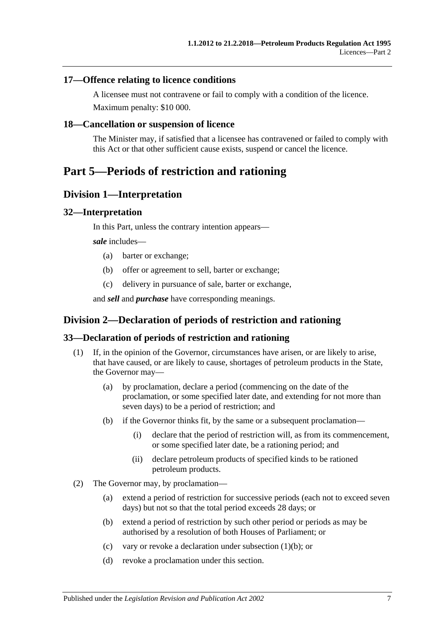#### <span id="page-6-0"></span>**17—Offence relating to licence conditions**

A licensee must not contravene or fail to comply with a condition of the licence. Maximum penalty: \$10 000.

#### <span id="page-6-1"></span>**18—Cancellation or suspension of licence**

The Minister may, if satisfied that a licensee has contravened or failed to comply with this Act or that other sufficient cause exists, suspend or cancel the licence.

# <span id="page-6-3"></span><span id="page-6-2"></span>**Part 5—Periods of restriction and rationing**

#### **Division 1—Interpretation**

#### <span id="page-6-4"></span>**32—Interpretation**

In this Part, unless the contrary intention appears—

*sale* includes—

- (a) barter or exchange;
- (b) offer or agreement to sell, barter or exchange;
- (c) delivery in pursuance of sale, barter or exchange,

and *sell* and *purchase* have corresponding meanings.

#### <span id="page-6-5"></span>**Division 2—Declaration of periods of restriction and rationing**

#### <span id="page-6-6"></span>**33—Declaration of periods of restriction and rationing**

- <span id="page-6-7"></span>(1) If, in the opinion of the Governor, circumstances have arisen, or are likely to arise, that have caused, or are likely to cause, shortages of petroleum products in the State, the Governor may—
	- (a) by proclamation, declare a period (commencing on the date of the proclamation, or some specified later date, and extending for not more than seven days) to be a period of restriction; and
	- (b) if the Governor thinks fit, by the same or a subsequent proclamation—
		- (i) declare that the period of restriction will, as from its commencement, or some specified later date, be a rationing period; and
		- (ii) declare petroleum products of specified kinds to be rationed petroleum products.
- (2) The Governor may, by proclamation—
	- (a) extend a period of restriction for successive periods (each not to exceed seven days) but not so that the total period exceeds 28 days; or
	- (b) extend a period of restriction by such other period or periods as may be authorised by a resolution of both Houses of Parliament; or
	- (c) vary or revoke a declaration under [subsection](#page-6-7) (1)(b); or
	- (d) revoke a proclamation under this section.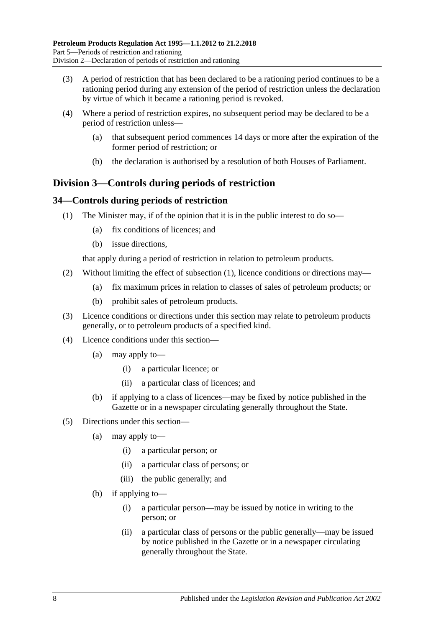- (3) A period of restriction that has been declared to be a rationing period continues to be a rationing period during any extension of the period of restriction unless the declaration by virtue of which it became a rationing period is revoked.
- (4) Where a period of restriction expires, no subsequent period may be declared to be a period of restriction unless—
	- (a) that subsequent period commences 14 days or more after the expiration of the former period of restriction; or
	- (b) the declaration is authorised by a resolution of both Houses of Parliament.

### <span id="page-7-0"></span>**Division 3—Controls during periods of restriction**

#### <span id="page-7-2"></span><span id="page-7-1"></span>**34—Controls during periods of restriction**

- (1) The Minister may, if of the opinion that it is in the public interest to do so—
	- (a) fix conditions of licences; and
	- (b) issue directions,

that apply during a period of restriction in relation to petroleum products.

- (2) Without limiting the effect of [subsection](#page-7-2) (1), licence conditions or directions may—
	- (a) fix maximum prices in relation to classes of sales of petroleum products; or
	- (b) prohibit sales of petroleum products.
- (3) Licence conditions or directions under this section may relate to petroleum products generally, or to petroleum products of a specified kind.
- (4) Licence conditions under this section—
	- (a) may apply to—
		- (i) a particular licence; or
		- (ii) a particular class of licences; and
	- (b) if applying to a class of licences—may be fixed by notice published in the Gazette or in a newspaper circulating generally throughout the State.
- (5) Directions under this section—
	- (a) may apply to—
		- (i) a particular person; or
		- (ii) a particular class of persons; or
		- (iii) the public generally; and
	- (b) if applying to—
		- (i) a particular person—may be issued by notice in writing to the person; or
		- (ii) a particular class of persons or the public generally—may be issued by notice published in the Gazette or in a newspaper circulating generally throughout the State.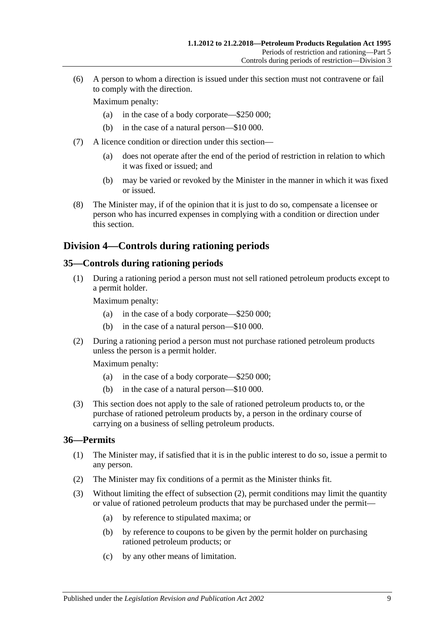(6) A person to whom a direction is issued under this section must not contravene or fail to comply with the direction.

Maximum penalty:

- (a) in the case of a body corporate—\$250 000;
- (b) in the case of a natural person—\$10 000.
- (7) A licence condition or direction under this section—
	- (a) does not operate after the end of the period of restriction in relation to which it was fixed or issued; and
	- (b) may be varied or revoked by the Minister in the manner in which it was fixed or issued.
- (8) The Minister may, if of the opinion that it is just to do so, compensate a licensee or person who has incurred expenses in complying with a condition or direction under this section.

#### <span id="page-8-0"></span>**Division 4—Controls during rationing periods**

#### <span id="page-8-1"></span>**35—Controls during rationing periods**

(1) During a rationing period a person must not sell rationed petroleum products except to a permit holder.

Maximum penalty:

- (a) in the case of a body corporate—\$250 000;
- (b) in the case of a natural person—\$10 000.
- (2) During a rationing period a person must not purchase rationed petroleum products unless the person is a permit holder.

Maximum penalty:

- (a) in the case of a body corporate—\$250 000;
- (b) in the case of a natural person—\$10 000.
- (3) This section does not apply to the sale of rationed petroleum products to, or the purchase of rationed petroleum products by, a person in the ordinary course of carrying on a business of selling petroleum products.

#### <span id="page-8-2"></span>**36—Permits**

- (1) The Minister may, if satisfied that it is in the public interest to do so, issue a permit to any person.
- <span id="page-8-3"></span>(2) The Minister may fix conditions of a permit as the Minister thinks fit.
- (3) Without limiting the effect of [subsection](#page-8-3) (2), permit conditions may limit the quantity or value of rationed petroleum products that may be purchased under the permit—
	- (a) by reference to stipulated maxima; or
	- (b) by reference to coupons to be given by the permit holder on purchasing rationed petroleum products; or
	- (c) by any other means of limitation.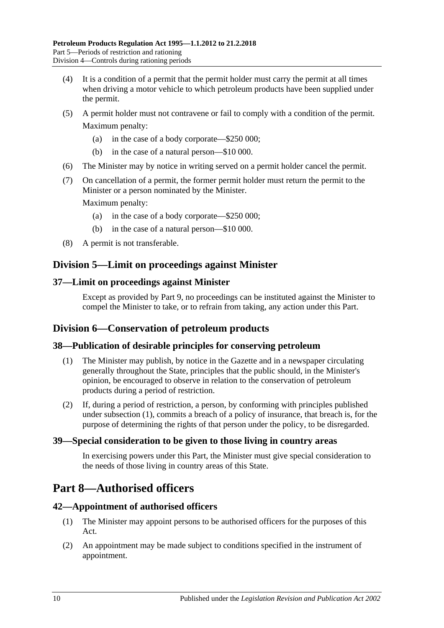- (4) It is a condition of a permit that the permit holder must carry the permit at all times when driving a motor vehicle to which petroleum products have been supplied under the permit.
- (5) A permit holder must not contravene or fail to comply with a condition of the permit. Maximum penalty:
	- (a) in the case of a body corporate—\$250 000;
	- (b) in the case of a natural person—\$10 000.
- (6) The Minister may by notice in writing served on a permit holder cancel the permit.
- (7) On cancellation of a permit, the former permit holder must return the permit to the Minister or a person nominated by the Minister.

Maximum penalty:

- (a) in the case of a body corporate—\$250 000;
- (b) in the case of a natural person—\$10 000.
- (8) A permit is not transferable.

#### <span id="page-9-0"></span>**Division 5—Limit on proceedings against Minister**

#### <span id="page-9-1"></span>**37—Limit on proceedings against Minister**

Except as provided by [Part 9,](#page-12-0) no proceedings can be instituted against the Minister to compel the Minister to take, or to refrain from taking, any action under this Part.

#### <span id="page-9-2"></span>**Division 6—Conservation of petroleum products**

#### <span id="page-9-7"></span><span id="page-9-3"></span>**38—Publication of desirable principles for conserving petroleum**

- (1) The Minister may publish, by notice in the Gazette and in a newspaper circulating generally throughout the State, principles that the public should, in the Minister's opinion, be encouraged to observe in relation to the conservation of petroleum products during a period of restriction.
- (2) If, during a period of restriction, a person, by conforming with principles published under [subsection](#page-9-7) (1), commits a breach of a policy of insurance, that breach is, for the purpose of determining the rights of that person under the policy, to be disregarded.

#### <span id="page-9-4"></span>**39—Special consideration to be given to those living in country areas**

In exercising powers under this Part, the Minister must give special consideration to the needs of those living in country areas of this State.

# <span id="page-9-5"></span>**Part 8—Authorised officers**

#### <span id="page-9-6"></span>**42—Appointment of authorised officers**

- (1) The Minister may appoint persons to be authorised officers for the purposes of this Act.
- (2) An appointment may be made subject to conditions specified in the instrument of appointment.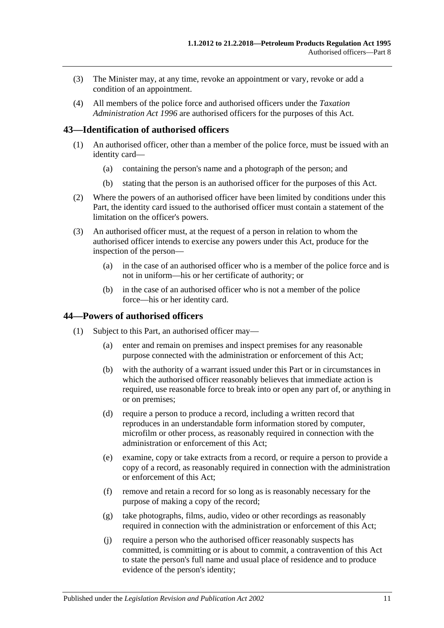- (3) The Minister may, at any time, revoke an appointment or vary, revoke or add a condition of an appointment.
- (4) All members of the police force and authorised officers under the *[Taxation](http://www.legislation.sa.gov.au/index.aspx?action=legref&type=act&legtitle=Taxation%20Administration%20Act%201996)  [Administration Act](http://www.legislation.sa.gov.au/index.aspx?action=legref&type=act&legtitle=Taxation%20Administration%20Act%201996) 1996* are authorised officers for the purposes of this Act.

#### <span id="page-10-0"></span>**43—Identification of authorised officers**

- (1) An authorised officer, other than a member of the police force, must be issued with an identity card—
	- (a) containing the person's name and a photograph of the person; and
	- (b) stating that the person is an authorised officer for the purposes of this Act.
- (2) Where the powers of an authorised officer have been limited by conditions under this Part, the identity card issued to the authorised officer must contain a statement of the limitation on the officer's powers.
- (3) An authorised officer must, at the request of a person in relation to whom the authorised officer intends to exercise any powers under this Act, produce for the inspection of the person—
	- (a) in the case of an authorised officer who is a member of the police force and is not in uniform—his or her certificate of authority; or
	- (b) in the case of an authorised officer who is not a member of the police force—his or her identity card.

#### <span id="page-10-2"></span><span id="page-10-1"></span>**44—Powers of authorised officers**

- (1) Subject to this Part, an authorised officer may—
	- (a) enter and remain on premises and inspect premises for any reasonable purpose connected with the administration or enforcement of this Act;
	- (b) with the authority of a warrant issued under this Part or in circumstances in which the authorised officer reasonably believes that immediate action is required, use reasonable force to break into or open any part of, or anything in or on premises;
	- (d) require a person to produce a record, including a written record that reproduces in an understandable form information stored by computer, microfilm or other process, as reasonably required in connection with the administration or enforcement of this Act;
	- (e) examine, copy or take extracts from a record, or require a person to provide a copy of a record, as reasonably required in connection with the administration or enforcement of this Act;
	- (f) remove and retain a record for so long as is reasonably necessary for the purpose of making a copy of the record;
	- (g) take photographs, films, audio, video or other recordings as reasonably required in connection with the administration or enforcement of this Act;
	- (j) require a person who the authorised officer reasonably suspects has committed, is committing or is about to commit, a contravention of this Act to state the person's full name and usual place of residence and to produce evidence of the person's identity;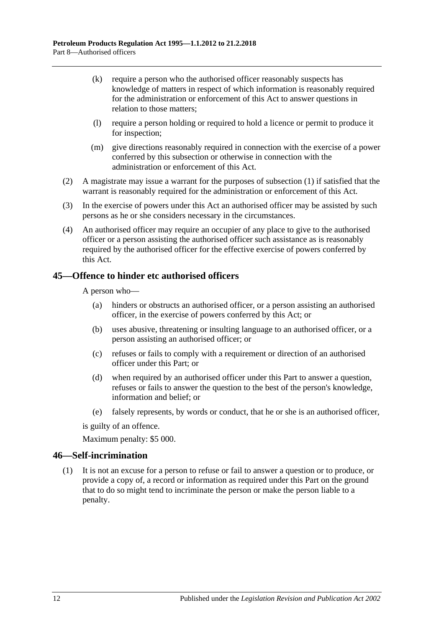- (k) require a person who the authorised officer reasonably suspects has knowledge of matters in respect of which information is reasonably required for the administration or enforcement of this Act to answer questions in relation to those matters;
- (l) require a person holding or required to hold a licence or permit to produce it for inspection;
- (m) give directions reasonably required in connection with the exercise of a power conferred by this subsection or otherwise in connection with the administration or enforcement of this Act.
- (2) A magistrate may issue a warrant for the purposes of [subsection](#page-10-2) (1) if satisfied that the warrant is reasonably required for the administration or enforcement of this Act.
- (3) In the exercise of powers under this Act an authorised officer may be assisted by such persons as he or she considers necessary in the circumstances.
- (4) An authorised officer may require an occupier of any place to give to the authorised officer or a person assisting the authorised officer such assistance as is reasonably required by the authorised officer for the effective exercise of powers conferred by this Act.

#### <span id="page-11-0"></span>**45—Offence to hinder etc authorised officers**

A person who—

- (a) hinders or obstructs an authorised officer, or a person assisting an authorised officer, in the exercise of powers conferred by this Act; or
- (b) uses abusive, threatening or insulting language to an authorised officer, or a person assisting an authorised officer; or
- (c) refuses or fails to comply with a requirement or direction of an authorised officer under this Part; or
- (d) when required by an authorised officer under this Part to answer a question, refuses or fails to answer the question to the best of the person's knowledge, information and belief; or
- (e) falsely represents, by words or conduct, that he or she is an authorised officer,

is guilty of an offence.

Maximum penalty: \$5 000.

#### <span id="page-11-1"></span>**46—Self-incrimination**

(1) It is not an excuse for a person to refuse or fail to answer a question or to produce, or provide a copy of, a record or information as required under this Part on the ground that to do so might tend to incriminate the person or make the person liable to a penalty.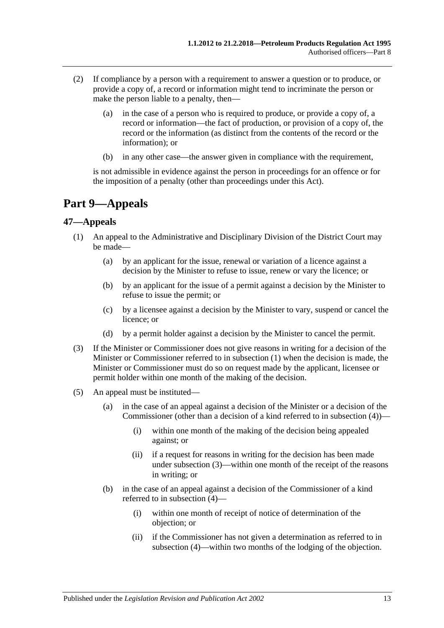- (2) If compliance by a person with a requirement to answer a question or to produce, or provide a copy of, a record or information might tend to incriminate the person or make the person liable to a penalty, then—
	- (a) in the case of a person who is required to produce, or provide a copy of, a record or information—the fact of production, or provision of a copy of, the record or the information (as distinct from the contents of the record or the information); or
	- (b) in any other case—the answer given in compliance with the requirement,

is not admissible in evidence against the person in proceedings for an offence or for the imposition of a penalty (other than proceedings under this Act).

# <span id="page-12-0"></span>**Part 9—Appeals**

#### <span id="page-12-2"></span><span id="page-12-1"></span>**47—Appeals**

- (1) An appeal to the Administrative and Disciplinary Division of the District Court may be made—
	- (a) by an applicant for the issue, renewal or variation of a licence against a decision by the Minister to refuse to issue, renew or vary the licence; or
	- (b) by an applicant for the issue of a permit against a decision by the Minister to refuse to issue the permit; or
	- (c) by a licensee against a decision by the Minister to vary, suspend or cancel the licence; or
	- (d) by a permit holder against a decision by the Minister to cancel the permit.
- <span id="page-12-3"></span>(3) If the Minister or Commissioner does not give reasons in writing for a decision of the Minister or Commissioner referred to in [subsection](#page-12-2) (1) when the decision is made, the Minister or Commissioner must do so on request made by the applicant, licensee or permit holder within one month of the making of the decision.
- (5) An appeal must be instituted—
	- (a) in the case of an appeal against a decision of the Minister or a decision of the Commissioner (other than a decision of a kind referred to in subsection (4))—
		- (i) within one month of the making of the decision being appealed against; or
		- (ii) if a request for reasons in writing for the decision has been made under [subsection](#page-12-3) (3)—within one month of the receipt of the reasons in writing; or
	- (b) in the case of an appeal against a decision of the Commissioner of a kind referred to in subsection (4)—
		- (i) within one month of receipt of notice of determination of the objection; or
		- (ii) if the Commissioner has not given a determination as referred to in subsection (4)—within two months of the lodging of the objection.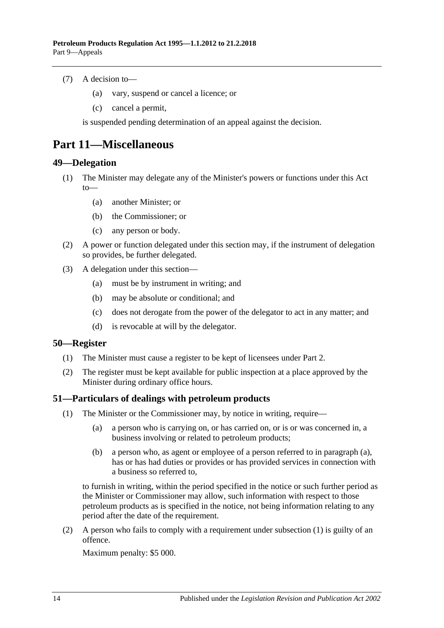- (7) A decision to—
	- (a) vary, suspend or cancel a licence; or
	- (c) cancel a permit,

is suspended pending determination of an appeal against the decision.

### <span id="page-13-0"></span>**Part 11—Miscellaneous**

#### <span id="page-13-1"></span>**49—Delegation**

- (1) The Minister may delegate any of the Minister's powers or functions under this Act to—
	- (a) another Minister; or
	- (b) the Commissioner; or
	- (c) any person or body.
- (2) A power or function delegated under this section may, if the instrument of delegation so provides, be further delegated.
- (3) A delegation under this section—
	- (a) must be by instrument in writing; and
	- (b) may be absolute or conditional; and
	- (c) does not derogate from the power of the delegator to act in any matter; and
	- (d) is revocable at will by the delegator.

#### <span id="page-13-2"></span>**50—Register**

- (1) The Minister must cause a register to be kept of licensees under [Part 2.](#page-4-3)
- (2) The register must be kept available for public inspection at a place approved by the Minister during ordinary office hours.

#### <span id="page-13-5"></span><span id="page-13-3"></span>**51—Particulars of dealings with petroleum products**

- <span id="page-13-4"></span>(1) The Minister or the Commissioner may, by notice in writing, require—
	- (a) a person who is carrying on, or has carried on, or is or was concerned in, a business involving or related to petroleum products;
	- (b) a person who, as agent or employee of a person referred to in [paragraph](#page-13-4) (a), has or has had duties or provides or has provided services in connection with a business so referred to,

to furnish in writing, within the period specified in the notice or such further period as the Minister or Commissioner may allow, such information with respect to those petroleum products as is specified in the notice, not being information relating to any period after the date of the requirement.

(2) A person who fails to comply with a requirement under [subsection](#page-13-5) (1) is guilty of an offence.

Maximum penalty: \$5 000.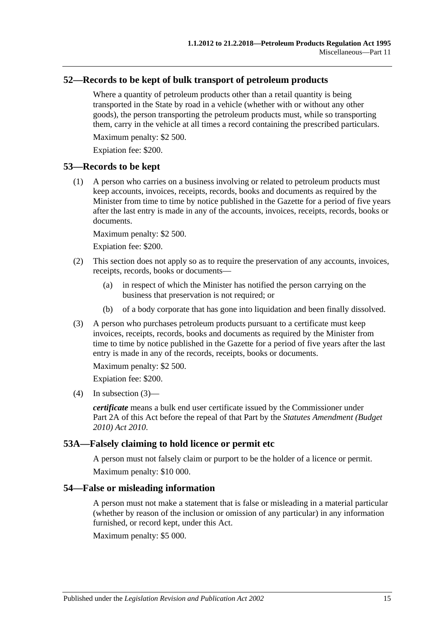#### <span id="page-14-0"></span>**52—Records to be kept of bulk transport of petroleum products**

Where a quantity of petroleum products other than a retail quantity is being transported in the State by road in a vehicle (whether with or without any other goods), the person transporting the petroleum products must, while so transporting them, carry in the vehicle at all times a record containing the prescribed particulars.

Maximum penalty: \$2 500.

Expiation fee: \$200.

#### <span id="page-14-1"></span>**53—Records to be kept**

(1) A person who carries on a business involving or related to petroleum products must keep accounts, invoices, receipts, records, books and documents as required by the Minister from time to time by notice published in the Gazette for a period of five years after the last entry is made in any of the accounts, invoices, receipts, records, books or documents.

Maximum penalty: \$2 500.

Expiation fee: \$200.

- (2) This section does not apply so as to require the preservation of any accounts, invoices, receipts, records, books or documents—
	- (a) in respect of which the Minister has notified the person carrying on the business that preservation is not required; or
	- (b) of a body corporate that has gone into liquidation and been finally dissolved.
- (3) A person who purchases petroleum products pursuant to a certificate must keep invoices, receipts, records, books and documents as required by the Minister from time to time by notice published in the Gazette for a period of five years after the last entry is made in any of the records, receipts, books or documents.

Maximum penalty: \$2 500.

Expiation fee: \$200.

 $(4)$  In subsection  $(3)$ —

*certificate* means a bulk end user certificate issued by the Commissioner under Part 2A of this Act before the repeal of that Part by the *[Statutes Amendment \(Budget](http://www.legislation.sa.gov.au/index.aspx?action=legref&type=act&legtitle=Statutes%20Amendment%20(Budget%202010)%20Act%202010)  [2010\) Act 2010](http://www.legislation.sa.gov.au/index.aspx?action=legref&type=act&legtitle=Statutes%20Amendment%20(Budget%202010)%20Act%202010)*.

#### <span id="page-14-2"></span>**53A—Falsely claiming to hold licence or permit etc**

A person must not falsely claim or purport to be the holder of a licence or permit. Maximum penalty: \$10 000.

#### <span id="page-14-3"></span>**54—False or misleading information**

A person must not make a statement that is false or misleading in a material particular (whether by reason of the inclusion or omission of any particular) in any information furnished, or record kept, under this Act.

Maximum penalty: \$5 000.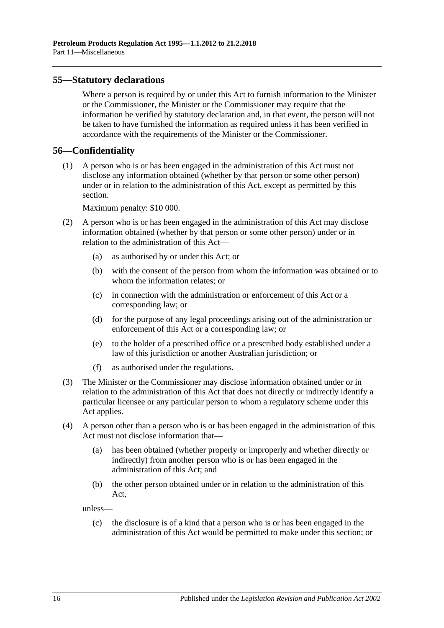#### <span id="page-15-0"></span>**55—Statutory declarations**

Where a person is required by or under this Act to furnish information to the Minister or the Commissioner, the Minister or the Commissioner may require that the information be verified by statutory declaration and, in that event, the person will not be taken to have furnished the information as required unless it has been verified in accordance with the requirements of the Minister or the Commissioner.

#### <span id="page-15-1"></span>**56—Confidentiality**

(1) A person who is or has been engaged in the administration of this Act must not disclose any information obtained (whether by that person or some other person) under or in relation to the administration of this Act, except as permitted by this section.

Maximum penalty: \$10 000.

- (2) A person who is or has been engaged in the administration of this Act may disclose information obtained (whether by that person or some other person) under or in relation to the administration of this Act—
	- (a) as authorised by or under this Act; or
	- (b) with the consent of the person from whom the information was obtained or to whom the information relates; or
	- (c) in connection with the administration or enforcement of this Act or a corresponding law; or
	- (d) for the purpose of any legal proceedings arising out of the administration or enforcement of this Act or a corresponding law; or
	- (e) to the holder of a prescribed office or a prescribed body established under a law of this jurisdiction or another Australian jurisdiction; or
	- (f) as authorised under the regulations.
- (3) The Minister or the Commissioner may disclose information obtained under or in relation to the administration of this Act that does not directly or indirectly identify a particular licensee or any particular person to whom a regulatory scheme under this Act applies.
- (4) A person other than a person who is or has been engaged in the administration of this Act must not disclose information that—
	- (a) has been obtained (whether properly or improperly and whether directly or indirectly) from another person who is or has been engaged in the administration of this Act; and
	- (b) the other person obtained under or in relation to the administration of this Act,

unless—

(c) the disclosure is of a kind that a person who is or has been engaged in the administration of this Act would be permitted to make under this section; or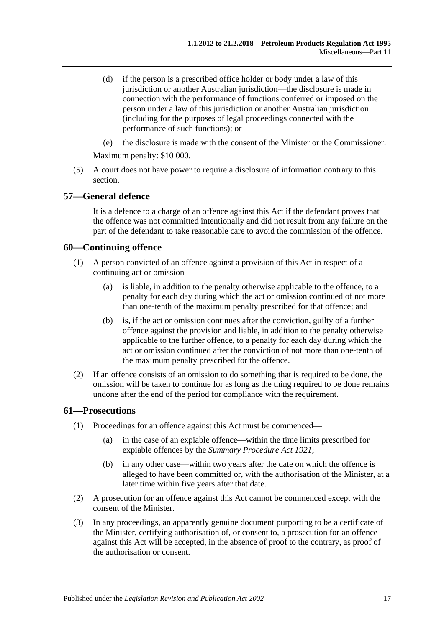- (d) if the person is a prescribed office holder or body under a law of this jurisdiction or another Australian jurisdiction—the disclosure is made in connection with the performance of functions conferred or imposed on the person under a law of this jurisdiction or another Australian jurisdiction (including for the purposes of legal proceedings connected with the performance of such functions); or
- (e) the disclosure is made with the consent of the Minister or the Commissioner.

Maximum penalty: \$10 000.

(5) A court does not have power to require a disclosure of information contrary to this section.

#### <span id="page-16-0"></span>**57—General defence**

It is a defence to a charge of an offence against this Act if the defendant proves that the offence was not committed intentionally and did not result from any failure on the part of the defendant to take reasonable care to avoid the commission of the offence.

#### <span id="page-16-1"></span>**60—Continuing offence**

- (1) A person convicted of an offence against a provision of this Act in respect of a continuing act or omission—
	- (a) is liable, in addition to the penalty otherwise applicable to the offence, to a penalty for each day during which the act or omission continued of not more than one-tenth of the maximum penalty prescribed for that offence; and
	- (b) is, if the act or omission continues after the conviction, guilty of a further offence against the provision and liable, in addition to the penalty otherwise applicable to the further offence, to a penalty for each day during which the act or omission continued after the conviction of not more than one-tenth of the maximum penalty prescribed for the offence.
- (2) If an offence consists of an omission to do something that is required to be done, the omission will be taken to continue for as long as the thing required to be done remains undone after the end of the period for compliance with the requirement.

#### <span id="page-16-2"></span>**61—Prosecutions**

- (1) Proceedings for an offence against this Act must be commenced—
	- (a) in the case of an expiable offence—within the time limits prescribed for expiable offences by the *[Summary Procedure Act](http://www.legislation.sa.gov.au/index.aspx?action=legref&type=act&legtitle=Summary%20Procedure%20Act%201921) 1921*;
	- (b) in any other case—within two years after the date on which the offence is alleged to have been committed or, with the authorisation of the Minister, at a later time within five years after that date.
- (2) A prosecution for an offence against this Act cannot be commenced except with the consent of the Minister.
- (3) In any proceedings, an apparently genuine document purporting to be a certificate of the Minister, certifying authorisation of, or consent to, a prosecution for an offence against this Act will be accepted, in the absence of proof to the contrary, as proof of the authorisation or consent.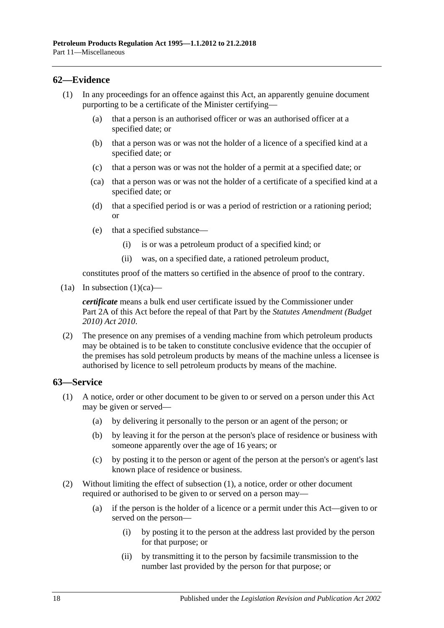#### <span id="page-17-0"></span>**62—Evidence**

- <span id="page-17-2"></span>(1) In any proceedings for an offence against this Act, an apparently genuine document purporting to be a certificate of the Minister certifying—
	- (a) that a person is an authorised officer or was an authorised officer at a specified date; or
	- (b) that a person was or was not the holder of a licence of a specified kind at a specified date; or
	- (c) that a person was or was not the holder of a permit at a specified date; or
	- (ca) that a person was or was not the holder of a certificate of a specified kind at a specified date; or
	- (d) that a specified period is or was a period of restriction or a rationing period; or
	- (e) that a specified substance—
		- (i) is or was a petroleum product of a specified kind; or
		- (ii) was, on a specified date, a rationed petroleum product,

constitutes proof of the matters so certified in the absence of proof to the contrary.

(1a) In [subsection](#page-17-2)  $(1)(ca)$ —

*certificate* means a bulk end user certificate issued by the Commissioner under Part 2A of this Act before the repeal of that Part by the *[Statutes Amendment \(Budget](http://www.legislation.sa.gov.au/index.aspx?action=legref&type=act&legtitle=Statutes%20Amendment%20(Budget%202010)%20Act%202010)  [2010\) Act 2010](http://www.legislation.sa.gov.au/index.aspx?action=legref&type=act&legtitle=Statutes%20Amendment%20(Budget%202010)%20Act%202010)*.

(2) The presence on any premises of a vending machine from which petroleum products may be obtained is to be taken to constitute conclusive evidence that the occupier of the premises has sold petroleum products by means of the machine unless a licensee is authorised by licence to sell petroleum products by means of the machine.

#### <span id="page-17-3"></span><span id="page-17-1"></span>**63—Service**

- (1) A notice, order or other document to be given to or served on a person under this Act may be given or served—
	- (a) by delivering it personally to the person or an agent of the person; or
	- (b) by leaving it for the person at the person's place of residence or business with someone apparently over the age of 16 years; or
	- (c) by posting it to the person or agent of the person at the person's or agent's last known place of residence or business.
- (2) Without limiting the effect of [subsection](#page-17-3) (1), a notice, order or other document required or authorised to be given to or served on a person may—
	- (a) if the person is the holder of a licence or a permit under this Act—given to or served on the person—
		- (i) by posting it to the person at the address last provided by the person for that purpose; or
		- (ii) by transmitting it to the person by facsimile transmission to the number last provided by the person for that purpose; or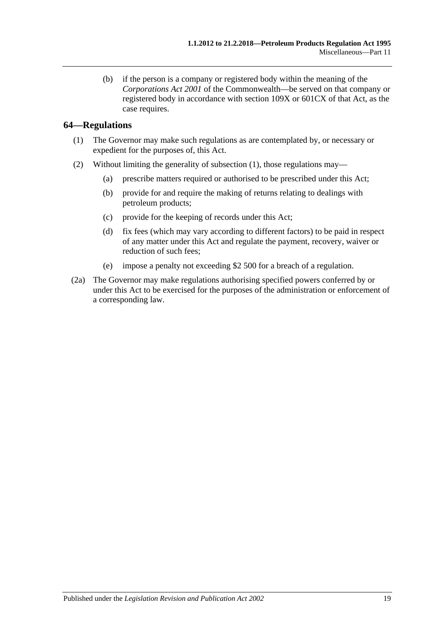(b) if the person is a company or registered body within the meaning of the *Corporations Act 2001* of the Commonwealth—be served on that company or registered body in accordance with section 109X or 601CX of that Act, as the case requires.

#### <span id="page-18-1"></span><span id="page-18-0"></span>**64—Regulations**

- (1) The Governor may make such regulations as are contemplated by, or necessary or expedient for the purposes of, this Act.
- (2) Without limiting the generality of [subsection](#page-18-1) (1), those regulations may—
	- (a) prescribe matters required or authorised to be prescribed under this Act;
	- (b) provide for and require the making of returns relating to dealings with petroleum products;
	- (c) provide for the keeping of records under this Act;
	- (d) fix fees (which may vary according to different factors) to be paid in respect of any matter under this Act and regulate the payment, recovery, waiver or reduction of such fees;
	- (e) impose a penalty not exceeding \$2 500 for a breach of a regulation.
- (2a) The Governor may make regulations authorising specified powers conferred by or under this Act to be exercised for the purposes of the administration or enforcement of a corresponding law.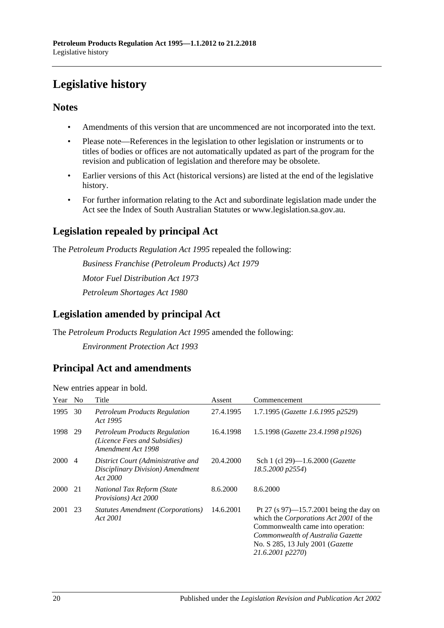# <span id="page-19-0"></span>**Legislative history**

#### **Notes**

- Amendments of this version that are uncommenced are not incorporated into the text.
- Please note—References in the legislation to other legislation or instruments or to titles of bodies or offices are not automatically updated as part of the program for the revision and publication of legislation and therefore may be obsolete.
- Earlier versions of this Act (historical versions) are listed at the end of the legislative history.
- For further information relating to the Act and subordinate legislation made under the Act see the Index of South Australian Statutes or www.legislation.sa.gov.au.

## **Legislation repealed by principal Act**

The *Petroleum Products Regulation Act 1995* repealed the following:

*Business Franchise (Petroleum Products) Act 1979 Motor Fuel Distribution Act 1973 Petroleum Shortages Act 1980*

### **Legislation amended by principal Act**

The *Petroleum Products Regulation Act 1995* amended the following: *Environment Protection Act 1993*

### **Principal Act and amendments**

| Year        | N <sub>0</sub> | Title                                                                                      | Assent    | Commencement                                                                                                                                                                                                                          |
|-------------|----------------|--------------------------------------------------------------------------------------------|-----------|---------------------------------------------------------------------------------------------------------------------------------------------------------------------------------------------------------------------------------------|
| 1995        | 30             | <b>Petroleum Products Regulation</b><br>Act 1995                                           | 27.4.1995 | 1.7.1995 (Gazette 1.6.1995 p2529)                                                                                                                                                                                                     |
| 1998        | 29             | <b>Petroleum Products Regulation</b><br>(Licence Fees and Subsidies)<br>Amendment Act 1998 | 16.4.1998 | 1.5.1998 (Gazette 23.4.1998 p1926)                                                                                                                                                                                                    |
| 2000        | $\overline{4}$ | District Court (Administrative and<br>Disciplinary Division) Amendment<br>Act 2000         | 20.4.2000 | Sch 1 (cl 29)-1.6.2000 (Gazette<br>18.5.2000 p2554)                                                                                                                                                                                   |
| <b>2000</b> | 21             | National Tax Reform (State<br><i>Provisions</i> ) Act 2000                                 | 8.6.2000  | 8.6.2000                                                                                                                                                                                                                              |
| 2001        | 23             | <b>Statutes Amendment (Corporations)</b><br>Act 2001                                       | 14.6.2001 | Pt 27 (s $97$ )—15.7.2001 being the day on<br>which the <i>Corporations Act 2001</i> of the<br>Commonwealth came into operation:<br>Commonwealth of Australia Gazette<br>No. S 285, 13 July 2001 ( <i>Gazette</i><br>21.6.2001 p2270) |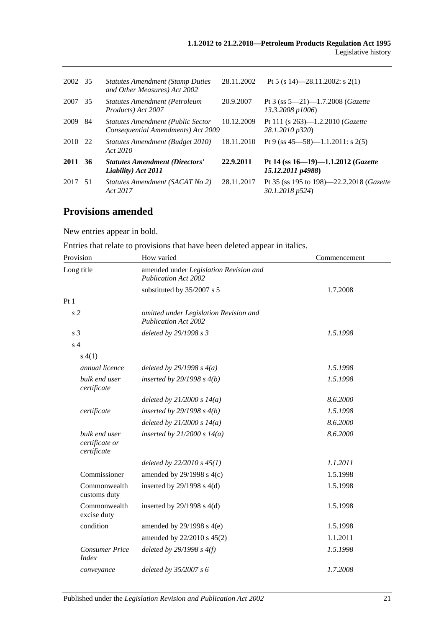| 2002 35 |     | <b>Statutes Amendment (Stamp Duties)</b><br>and Other Measures) Act 2002       | 28.11.2002 | Pt 5 (s 14)-28.11.2002: s 2(1)                                  |
|---------|-----|--------------------------------------------------------------------------------|------------|-----------------------------------------------------------------|
| 2007    | 35  | <b>Statutes Amendment (Petroleum</b><br>Products) Act 2007                     | 20.9.2007  | Pt 3 (ss $5-21$ )-1.7.2008 ( <i>Gazette</i><br>13.3.2008 p1006) |
| 2009    | -84 | <b>Statutes Amendment (Public Sector</b><br>Consequential Amendments) Act 2009 | 10.12.2009 | Pt 111 (s $263$ )—1.2.2010 ( <i>Gazette</i><br>28.1.2010 p320)  |
| 2010 22 |     | Statutes Amendment (Budget 2010)<br>Act 2010                                   | 18.11.2010 | Pt 9 (ss $45 - 58$ ) $-1.1.2011$ : s $2(5)$                     |
| 2011 36 |     | <b>Statutes Amendment (Directors'</b><br>Liability) Act 2011                   | 22.9.2011  | Pt 14 (ss 16-19)-1.1.2012 (Gazette<br>15.12.2011 p4988)         |
| 2017    | -51 | Statutes Amendment (SACAT No 2)<br>Act 2017                                    | 28.11.2017 | Pt 35 (ss 195 to 198)-22.2.2018 (Gazette<br>30.1.2018 p524)     |

## **Provisions amended**

New entries appear in bold.

|  |  | Entries that relate to provisions that have been deleted appear in italics. |  |
|--|--|-----------------------------------------------------------------------------|--|
|--|--|-----------------------------------------------------------------------------|--|

| Provision                                      | How varied                                                            | Commencement |
|------------------------------------------------|-----------------------------------------------------------------------|--------------|
| Long title                                     | amended under Legislation Revision and<br><b>Publication Act 2002</b> |              |
|                                                | substituted by 35/2007 s 5                                            | 1.7.2008     |
| Pt1                                            |                                                                       |              |
| s <sub>2</sub>                                 | omitted under Legislation Revision and<br><b>Publication Act 2002</b> |              |
| s <sub>3</sub>                                 | deleted by 29/1998 s 3                                                | 1.5.1998     |
| s <sub>4</sub>                                 |                                                                       |              |
| s(4(1))                                        |                                                                       |              |
| annual licence                                 | deleted by $29/1998 s 4(a)$                                           | 1.5.1998     |
| bulk end user<br>certificate                   | inserted by $29/1998 s 4(b)$                                          | 1.5.1998     |
|                                                | deleted by $21/2000 s 14(a)$                                          | 8.6.2000     |
| certificate                                    | inserted by $29/1998 s 4(b)$                                          | 1.5.1998     |
|                                                | deleted by $21/2000 s 14(a)$                                          | 8.6.2000     |
| bulk end user<br>certificate or<br>certificate | inserted by $21/2000 s 14(a)$                                         | 8.6.2000     |
|                                                | deleted by $22/2010 s 45(1)$                                          | 1.1.2011     |
| Commissioner                                   | amended by $29/1998$ s $4(c)$                                         | 1.5.1998     |
| Commonwealth<br>customs duty                   | inserted by $29/1998$ s $4(d)$                                        | 1.5.1998     |
| Commonwealth<br>excise duty                    | inserted by $29/1998$ s $4(d)$                                        | 1.5.1998     |
| condition                                      | amended by $29/1998$ s $4(e)$                                         | 1.5.1998     |
|                                                | amended by 22/2010 s 45(2)                                            | 1.1.2011     |
| <b>Consumer Price</b><br><i>Index</i>          | deleted by $29/1998 s 4(f)$                                           | 1.5.1998     |
| conveyance                                     | deleted by 35/2007 s 6                                                | 1.7.2008     |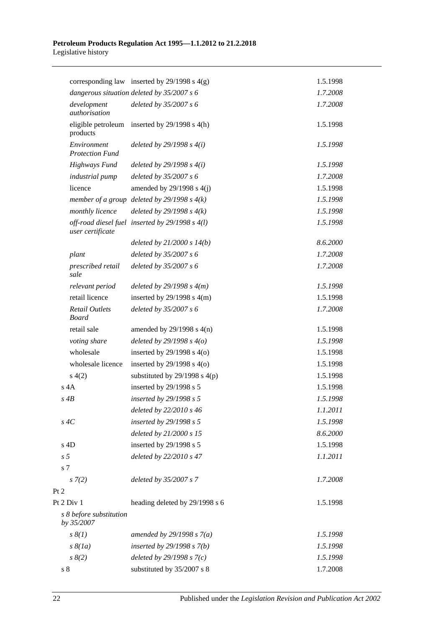|                |                                       | corresponding law inserted by $29/1998$ s $4(g)$ | 1.5.1998 |
|----------------|---------------------------------------|--------------------------------------------------|----------|
|                |                                       | dangerous situation deleted by 35/2007 s 6       | 1.7.2008 |
|                | development<br>authorisation          | deleted by $35/2007 s 6$                         | 1.7.2008 |
|                | eligible petroleum<br>products        | inserted by $29/1998$ s $4(h)$                   | 1.5.1998 |
|                | Environment<br><b>Protection Fund</b> | deleted by $29/1998 s 4(i)$                      | 1.5.1998 |
|                | <b>Highways Fund</b>                  | deleted by $29/1998 s 4(i)$                      | 1.5.1998 |
|                | industrial pump                       | deleted by $35/2007 s 6$                         | 1.7.2008 |
|                | licence                               | amended by $29/1998$ s $4(j)$                    | 1.5.1998 |
|                |                                       | member of a group deleted by $29/1998 s 4(k)$    | 1.5.1998 |
|                | monthly licence                       | deleted by $29/1998 s 4(k)$                      | 1.5.1998 |
|                | user certificate                      | off-road diesel fuel inserted by 29/1998 s 4(l)  | 1.5.1998 |
|                |                                       | deleted by $21/2000 s 14(b)$                     | 8.6.2000 |
|                | plant                                 | deleted by 35/2007 s 6                           | 1.7.2008 |
|                | prescribed retail<br>sale             | deleted by 35/2007 s 6                           | 1.7.2008 |
|                | relevant period                       | deleted by $29/1998 s 4(m)$                      | 1.5.1998 |
|                | retail licence                        | inserted by $29/1998$ s $4(m)$                   | 1.5.1998 |
|                | <b>Retail Outlets</b><br><b>Board</b> | deleted by $35/2007 s 6$                         | 1.7.2008 |
|                | retail sale                           | amended by $29/1998$ s $4(n)$                    | 1.5.1998 |
|                | voting share                          | deleted by $29/1998 s 4(o)$                      | 1.5.1998 |
|                | wholesale                             | inserted by $29/1998$ s $4(0)$                   | 1.5.1998 |
|                | wholesale licence                     | inserted by $29/1998$ s $4(0)$                   | 1.5.1998 |
|                | s(4(2)                                | substituted by $29/1998$ s $4(p)$                | 1.5.1998 |
| $s$ 4A         |                                       | inserted by 29/1998 s 5                          | 1.5.1998 |
| $s \, 4B$      |                                       | inserted by 29/1998 s 5                          | 1.5.1998 |
|                |                                       | deleted by 22/2010 s 46                          | 1.1.2011 |
| $s \, 4C$      |                                       | inserted by 29/1998 s 5                          | 1.5.1998 |
|                |                                       | deleted by 21/2000 s 15                          | 8.6.2000 |
| $s$ 4D         |                                       | inserted by 29/1998 s 5                          | 1.5.1998 |
| s <sub>5</sub> |                                       | deleted by 22/2010 s 47                          | 1.1.2011 |
| s <sub>7</sub> |                                       |                                                  |          |
|                | $s \, 7(2)$                           | deleted by 35/2007 s 7                           | 1.7.2008 |
| Pt 2           |                                       |                                                  |          |
| Pt 2 Div 1     |                                       | heading deleted by 29/1998 s 6                   | 1.5.1998 |
|                | s 8 before substitution<br>by 35/2007 |                                                  |          |
|                | $s \, \mathcal{S}(1)$                 | amended by $29/1998 s 7(a)$                      | 1.5.1998 |
|                | $s \& (Ia)$                           | inserted by $29/1998 s 7(b)$                     | 1.5.1998 |
|                | $s \, 8(2)$                           | deleted by $29/1998 s 7(c)$                      | 1.5.1998 |
| s <sub>8</sub> |                                       | substituted by 35/2007 s 8                       | 1.7.2008 |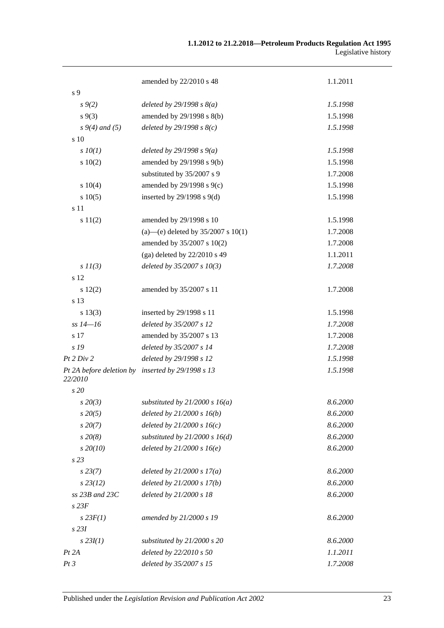|                                     | amended by 22/2010 s 48                | 1.1.2011 |
|-------------------------------------|----------------------------------------|----------|
| s 9                                 |                                        |          |
| $s \, 9(2)$                         | deleted by $29/1998 s 8(a)$            | 1.5.1998 |
| $s \, 9(3)$                         | amended by 29/1998 s 8(b)              | 1.5.1998 |
| $s\,9(4)$ and (5)                   | deleted by $29/1998 s 8(c)$            | 1.5.1998 |
| s 10                                |                                        |          |
| $s$ $10(1)$                         | deleted by $29/1998 s 9(a)$            | 1.5.1998 |
| 10(2)                               | amended by 29/1998 s 9(b)              | 1.5.1998 |
|                                     | substituted by 35/2007 s 9             | 1.7.2008 |
| s 10(4)                             | amended by 29/1998 s 9(c)              | 1.5.1998 |
| s 10(5)                             | inserted by $29/1998$ s $9(d)$         | 1.5.1998 |
| s 11                                |                                        |          |
| s 11(2)                             | amended by 29/1998 s 10                | 1.5.1998 |
|                                     | (a)—(e) deleted by $35/2007$ s $10(1)$ | 1.7.2008 |
|                                     | amended by 35/2007 s 10(2)             | 1.7.2008 |
|                                     | (ga) deleted by $22/2010$ s 49         | 1.1.2011 |
| $s$ $11(3)$                         | deleted by $35/2007 s 10(3)$           | 1.7.2008 |
| s 12                                |                                        |          |
| s 12(2)                             | amended by 35/2007 s 11                | 1.7.2008 |
| s 13                                |                                        |          |
| s 13(3)                             | inserted by 29/1998 s 11               | 1.5.1998 |
| $ss 14 - 16$                        | deleted by 35/2007 s 12                | 1.7.2008 |
| s 17                                | amended by 35/2007 s 13                | 1.7.2008 |
| s 19                                | deleted by 35/2007 s 14                | 1.7.2008 |
| Pt 2 Div 2                          | deleted by 29/1998 s 12                | 1.5.1998 |
| Pt 2A before deletion by<br>22/2010 | inserted by 29/1998 s 13               | 1.5.1998 |
| s 20                                |                                        |          |
| $s\,20(3)$                          | substituted by $21/2000 s 16(a)$       | 8.6.2000 |
| $s\,20(5)$                          | deleted by $21/2000 s 16(b)$           | 8.6.2000 |
| $s\,20(7)$                          | deleted by $21/2000 s 16(c)$           | 8.6.2000 |
| $s\,20(8)$                          | substituted by $21/2000 s 16(d)$       | 8.6.2000 |
| $s\,20(10)$                         | deleted by $21/2000 s 16(e)$           | 8.6.2000 |
| s <sub>23</sub>                     |                                        |          |
| $s\,23(7)$                          | deleted by $21/2000 s 17(a)$           | 8.6.2000 |
| $s\,23(12)$                         | deleted by $21/2000 s 17(b)$           | 8.6.2000 |
| $ss$ 23B and 23C                    | deleted by 21/2000 s 18                | 8.6.2000 |
| $s$ 23 $F$                          |                                        |          |
| $s$ 23 $F(1)$                       | amended by 21/2000 s 19                | 8.6.2000 |
| $s$ 23 $I$                          |                                        |          |
| $s$ 23 $I(1)$                       | substituted by 21/2000 s 20            | 8.6.2000 |
| Pt 2A                               | deleted by 22/2010 s 50                | 1.1.2011 |
| Pt3                                 | deleted by 35/2007 s 15                | 1.7.2008 |
|                                     |                                        |          |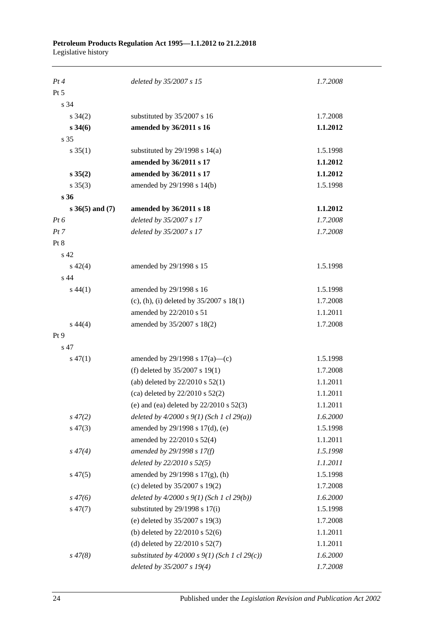| Pt4             | deleted by 35/2007 s 15                           | 1.7.2008 |
|-----------------|---------------------------------------------------|----------|
| Pt 5            |                                                   |          |
| s 34            |                                                   |          |
| $s \, 34(2)$    | substituted by 35/2007 s 16                       | 1.7.2008 |
| $s \, 34(6)$    | amended by 36/2011 s 16                           | 1.1.2012 |
| s 35            |                                                   |          |
| $s \, 35(1)$    | substituted by $29/1998$ s $14(a)$                | 1.5.1998 |
|                 | amended by 36/2011 s 17                           | 1.1.2012 |
| $s \, 35(2)$    | amended by 36/2011 s 17                           | 1.1.2012 |
| $s \; 35(3)$    | amended by 29/1998 s 14(b)                        | 1.5.1998 |
| s <sub>36</sub> |                                                   |          |
| s 36(5) and (7) | amended by 36/2011 s 18                           | 1.1.2012 |
| $Pt\,6$         | deleted by 35/2007 s 17                           | 1.7.2008 |
| Pt 7            | deleted by 35/2007 s 17                           | 1.7.2008 |
| Pt 8            |                                                   |          |
| s 42            |                                                   |          |
| $s\ 42(4)$      | amended by 29/1998 s 15                           | 1.5.1998 |
| s 44            |                                                   |          |
| $s\,44(1)$      | amended by 29/1998 s 16                           | 1.5.1998 |
|                 | (c), (h), (i) deleted by $35/2007$ s $18(1)$      | 1.7.2008 |
|                 | amended by 22/2010 s 51                           | 1.1.2011 |
| $s\,44(4)$      | amended by 35/2007 s 18(2)                        | 1.7.2008 |
| Pt 9            |                                                   |          |
| s 47            |                                                   |          |
| $s\,47(1)$      | amended by 29/1998 s $17(a)$ —(c)                 | 1.5.1998 |
|                 | (f) deleted by $35/2007$ s 19(1)                  | 1.7.2008 |
|                 | (ab) deleted by $22/2010$ s $52(1)$               | 1.1.2011 |
|                 | (ca) deleted by $22/2010$ s $52(2)$               | 1.1.2011 |
|                 | (e) and (ea) deleted by $22/2010$ s $52(3)$       | 1.1.2011 |
| $s\,47(2)$      | deleted by $4/2000 s 9(1)$ (Sch 1 cl 29(a))       | 1.6.2000 |
| $s\,47(3)$      | amended by 29/1998 s 17(d), (e)                   | 1.5.1998 |
|                 | amended by 22/2010 s 52(4)                        | 1.1.2011 |
| $s\,47(4)$      | amended by 29/1998 s 17(f)                        | 1.5.1998 |
|                 | deleted by 22/2010 s 52(5)                        | 1.1.2011 |
| $s\,47(5)$      | amended by 29/1998 s 17(g), (h)                   | 1.5.1998 |
|                 | (c) deleted by 35/2007 s 19(2)                    | 1.7.2008 |
| $s\,47(6)$      | deleted by $4/2000 s 9(1)$ (Sch 1 cl 29(b))       | 1.6.2000 |
| $s\,47(7)$      | substituted by 29/1998 s 17(i)                    | 1.5.1998 |
|                 | (e) deleted by 35/2007 s 19(3)                    | 1.7.2008 |
|                 | (b) deleted by $22/2010$ s $52(6)$                | 1.1.2011 |
|                 | (d) deleted by $22/2010$ s $52(7)$                | 1.1.2011 |
| $s\,47(8)$      | substituted by $4/2000$ s $9(1)$ (Sch 1 cl 29(c)) | 1.6.2000 |
|                 | deleted by 35/2007 s 19(4)                        | 1.7.2008 |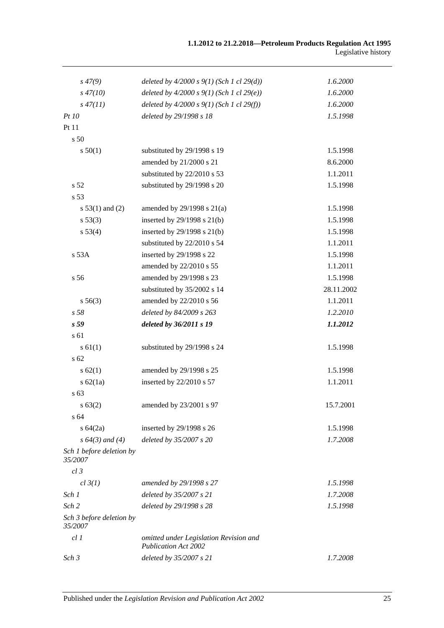| $s\,47(9)$                          | deleted by $4/2000 s 9(1)$ (Sch 1 cl 29(d))                           | 1.6.2000   |
|-------------------------------------|-----------------------------------------------------------------------|------------|
| $s\,47(10)$                         | deleted by $4/2000 s 9(1)$ (Sch 1 cl 29(e))                           | 1.6.2000   |
| $s\,47(11)$                         | deleted by $4/2000 s 9(1)$ (Sch 1 cl 29(f))                           | 1.6.2000   |
| Pt10                                | deleted by 29/1998 s 18                                               | 1.5.1998   |
| Pt 11                               |                                                                       |            |
| s 50                                |                                                                       |            |
| s 50(1)                             | substituted by 29/1998 s 19                                           | 1.5.1998   |
|                                     | amended by 21/2000 s 21                                               | 8.6.2000   |
|                                     | substituted by 22/2010 s 53                                           | 1.1.2011   |
| s <sub>52</sub>                     | substituted by 29/1998 s 20                                           | 1.5.1998   |
| s 53                                |                                                                       |            |
| s $53(1)$ and (2)                   | amended by $29/1998$ s $21(a)$                                        | 1.5.1998   |
| s 53(3)                             | inserted by 29/1998 s 21(b)                                           | 1.5.1998   |
| s 53(4)                             | inserted by 29/1998 s 21(b)                                           | 1.5.1998   |
|                                     | substituted by 22/2010 s 54                                           | 1.1.2011   |
| s 53A                               | inserted by 29/1998 s 22                                              | 1.5.1998   |
|                                     | amended by 22/2010 s 55                                               | 1.1.2011   |
| s 56                                | amended by 29/1998 s 23                                               | 1.5.1998   |
|                                     | substituted by 35/2002 s 14                                           | 28.11.2002 |
| $s\,56(3)$                          | amended by 22/2010 s 56                                               | 1.1.2011   |
| s <sub>58</sub>                     | deleted by 84/2009 s 263                                              | 1.2.2010   |
| s <sub>59</sub>                     | deleted by 36/2011 s 19                                               | 1.1.2012   |
| s 61                                |                                                                       |            |
| s 61(1)                             | substituted by 29/1998 s 24                                           | 1.5.1998   |
| s 62                                |                                                                       |            |
| s 62(1)                             | amended by 29/1998 s 25                                               | 1.5.1998   |
| s $62(1a)$                          | inserted by 22/2010 s 57                                              | 1.1.2011   |
| s 63                                |                                                                       |            |
| s 63(2)                             | amended by 23/2001 s 97                                               | 15.7.2001  |
| s 64                                |                                                                       |            |
| $s\,64(2a)$                         | inserted by 29/1998 s 26                                              | 1.5.1998   |
| $s\,64(3)$ and (4)                  | deleted by 35/2007 s 20                                               | 1.7.2008   |
| Sch 1 before deletion by<br>35/2007 |                                                                       |            |
| $cl$ 3                              |                                                                       |            |
| cl 3(1)                             | amended by 29/1998 s 27                                               | 1.5.1998   |
| Sch 1                               | deleted by 35/2007 s 21                                               | 1.7.2008   |
| Sch <sub>2</sub>                    | deleted by 29/1998 s 28                                               | 1.5.1998   |
| Sch 3 before deletion by<br>35/2007 |                                                                       |            |
| cl1                                 | omitted under Legislation Revision and<br><b>Publication Act 2002</b> |            |
| Sch <sub>3</sub>                    | deleted by 35/2007 s 21                                               | 1.7.2008   |